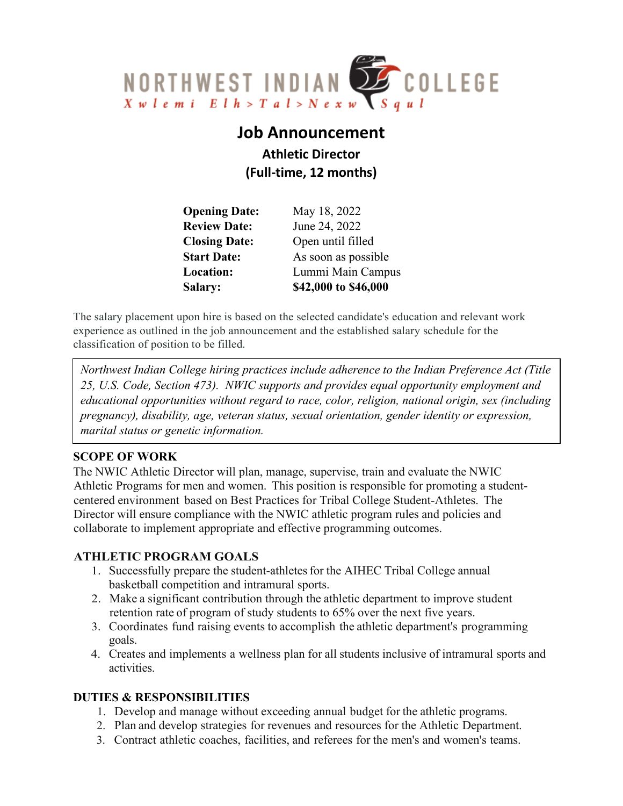

# **Job Announcement**

**Athletic Director (Full-time, 12 months)**

| <b>Salary:</b>       | \$42,000 to \$46,000 |
|----------------------|----------------------|
| Location:            | Lummi Main Campus    |
| <b>Start Date:</b>   | As soon as possible  |
| <b>Closing Date:</b> | Open until filled    |
| <b>Review Date:</b>  | June 24, 2022        |
| <b>Opening Date:</b> | May 18, 2022         |

The salary placement upon hire is based on the selected candidate's education and relevant work experience as outlined in the job announcement and the established salary schedule for the classification of position to be filled.

*Northwest Indian College hiring practices include adherence to the Indian Preference Act (Title 25, U.S. Code, Section 473). NWIC supports and provides equal opportunity employment and educational opportunities without regard to race, color, religion, national origin, sex (including pregnancy), disability, age, veteran status, sexual orientation, gender identity or expression, marital status or genetic information.*

### **SCOPE OF WORK**

The NWIC Athletic Director will plan, manage, supervise, train and evaluate the NWIC Athletic Programs for men and women. This position is responsible for promoting a studentcentered environment based on Best Practices for Tribal College Student-Athletes. The Director will ensure compliance with the NWIC athletic program rules and policies and collaborate to implement appropriate and effective programming outcomes.

### **ATHLETIC PROGRAM GOALS**

- 1. Successfully prepare the student-athletes for the AIHEC Tribal College annual basketball competition and intramural sports.
- 2. Make a significant contribution through the athletic department to improve student retention rate of program of study students to 65% over the next five years.
- 3. Coordinates fund raising events to accomplish the athletic department's programming goals.
- 4. Creates and implements a wellness plan for all students inclusive of intramural sports and activities.

### **DUTIES & RESPONSIBILITIES**

- 1. Develop and manage without exceeding annual budget for the athletic programs.
- 2. Plan and develop strategies for revenues and resources for the Athletic Department.
- 3. Contract athletic coaches, facilities, and referees for the men's and women's teams.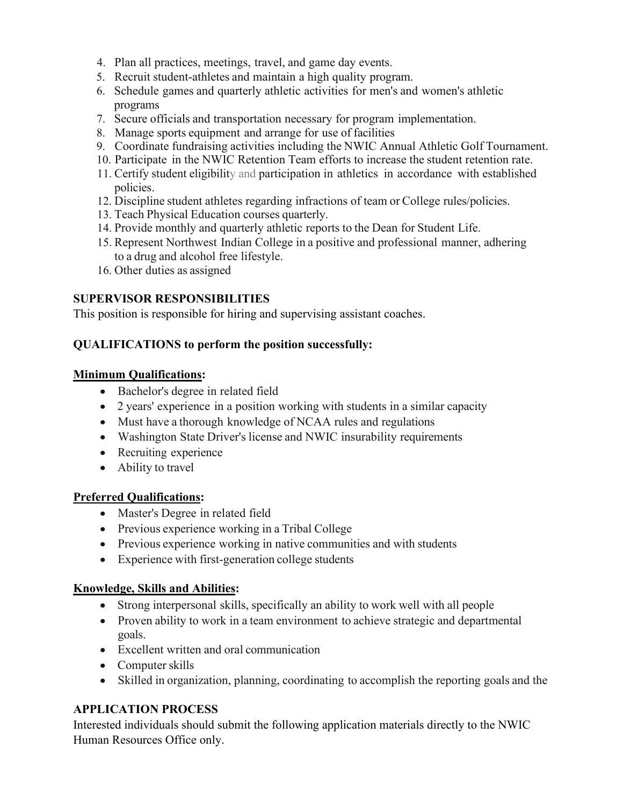- 4. Plan all practices, meetings, travel, and game day events.
- 5. Recruit student-athletes and maintain a high quality program.
- 6. Schedule games and quarterly athletic activities for men's and women's athletic programs
- 7. Secure officials and transportation necessary for program implementation.
- 8. Manage sports equipment and arrange for use of facilities
- 9. Coordinate fundraising activities including the NWIC Annual Athletic Golf Tournament.
- 10. Participate in the NWIC Retention Team efforts to increase the student retention rate.
- 11. Certify student eligibility and participation in athletics in accordance with established policies.
- 12. Discipline student athletes regarding infractions of team or College rules/policies.
- 13. Teach Physical Education courses quarterly.
- 14. Provide monthly and quarterly athletic reports to the Dean for Student Life.
- 15. Represent Northwest Indian College in a positive and professional manner, adhering to a drug and alcohol free lifestyle.
- 16. Other duties as assigned

## **SUPERVISOR RESPONSIBILITIES**

This position is responsible for hiring and supervising assistant coaches.

### **QUALIFICATIONS to perform the position successfully:**

### **Minimum Qualifications:**

- Bachelor's degree in related field
- 2 years' experience in a position working with students in a similar capacity
- Must have a thorough knowledge of NCAA rules and regulations
- Washington State Driver's license and NWIC insurability requirements
- Recruiting experience
- Ability to travel

### **Preferred Qualifications:**

- Master's Degree in related field
- Previous experience working in a Tribal College
- Previous experience working in native communities and with students
- Experience with first-generation college students

### **Knowledge, Skills and Abilities:**

- Strong interpersonal skills, specifically an ability to work well with all people
- Proven ability to work in a team environment to achieve strategic and departmental goals.
- Excellent written and oral communication
- Computer skills
- Skilled in organization, planning, coordinating to accomplish the reporting goals and the

### **APPLICATION PROCESS**

Interested individuals should submit the following application materials directly to the NWIC Human Resources Office only.